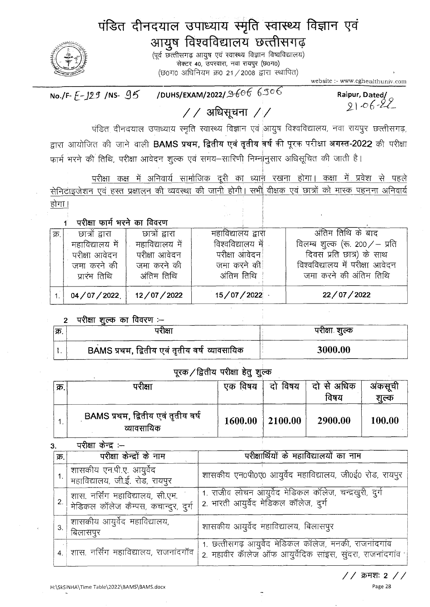# पंडित दीनदयाल उपाध्याय स्मृति स्वास्थ्य विज्ञान एवं आयुष विश्वविद्यालय छत्तीसगढ़

(पूर्व छत्तीसगढ़ आयुष एवं स्वास्थ्य विज्ञान विष्वविद्यालय) सेक्टर 40, उपरवारा, नवा रायपुर (छ0ग0) (छ0ग0 अधिनियम क्र0 21 / 2008 द्वारा स्थापित)

website :- www.cghealthuniv.com

/DUHS/EXAM/2022/ $36666506$ No./F- $F-129$  /NS-  $95$ 

Raipur, Dated/<br>21 - $\circ$  6 -22

## $//$  अधिसूचना / $//$

पंडित दीनदयाल उपाध्याय स्मृति स्वास्थ्य विज्ञान एवं आयुष विश्वविद्यालय, नवा रायपुर छत्तीसगढ़, द्वारा आयोजित की जाने वाली BAMS प्रथम, द्वितीय एवं तृतीय वर्ष की पूरक परीक्षा अगस्त-2022 की परीक्षा फार्म भरने की तिथि, परीक्षा आवेदन शुल्क एवं समय-सारिणी निम्नानुसार अधिसूचित की जाती है।

परीक्षा कक्ष में अनिवार्य सामौजिक <u>दूरी का ध्यान रखना होगा। कक्षा में प्रवेश से पहले</u> सेनिटाइजेशन एवं हस्त प्रक्षालन की व्यवस्था की जानी होगी। सभी वीक्षक एवं छात्रों को मास्क पहनना अनिवार्य होगा।

### परीक्षा फार्म भरने का विवरण

 $\mathbf{f}$ 

| क्र. | छात्रों द्वारा  | छात्रों द्वारा  | महाविद्यालय द्वारा | अंतिम तिथि के बाद               |
|------|-----------------|-----------------|--------------------|---------------------------------|
|      | महाविद्यालय में | महाविद्यालय में | विश्वविद्यालय में  | विलम्ब शूल्क (रू. 200 / – प्रति |
|      | परीक्षा आवेदन   | परीक्षा आवेदन   | परीक्षा आवेदन      | दिवस प्रति छात्र) के साथ        |
|      | जमा करने की     | जमा करने की     | जमा करने की        | विश्वविद्यालय में परीक्षा आवेदन |
|      | प्रारंभ तिथि    | अंतिम तिथि      | अंतिम तिथि         | ज़मा करने की अंतिम तिथि         |
|      | 04/07/2022      | 12/07/2022      | 15/07/2022         | 22/07/2022                      |
|      |                 |                 |                    |                                 |

### परीक्षा शल्क का विवरण :--

| ।क्र | गरीक्षा                                       | परीक्षा शूल्क |
|------|-----------------------------------------------|---------------|
|      | BAMS प्रथम, द्वितीय एवं तृतीय वर्ष व्यावसायिक | 3000.00       |

### पूरक / द्वितीय परीक्षा हेतु शुल्क

| क्र. | पराक्षा                                          | एक विषय | दो विषय             | ंदो से अधिक<br>विषय | अकसूची<br>शल्क |
|------|--------------------------------------------------|---------|---------------------|---------------------|----------------|
|      | BAMS प्रथम, द्वितीय एवं तृतीय वर्ष<br>व्यावसायिक | 1600.00 | $\parallel$ 2100.00 | 2900.00             | 100.00         |

#### परीक्षा केन्द्र $:=$ 3.

| क्र. $ $ | परीक्षा केन्द्रों के नाम                                                 | परीक्षार्थियों के महाविद्यालयों का नाम                                                                              |  |
|----------|--------------------------------------------------------------------------|---------------------------------------------------------------------------------------------------------------------|--|
|          | शासकीय एन.पी.ए. आयुर्वेद<br>  महाविद्यालय, जी.ई. रोड, रायपुर             | शासकीय एन0पी0ए0 आयुर्वेद महाविद्यालय, जी0ई0 रोड, रायपुर                                                             |  |
|          | शास. नर्सिंग महाविद्यालय, सी.एम.<br>मेडिकल कॉलेज कैम्पस, कचान्दुर, दुर्ग | 1. राजीव लोचन आयुर्वेद मेडिकल कॉलेज, चन्द्रखुरी, दुर्ग<br>2. भारती आयुर्वेद मेडिकल कॉलेज, दुर्ग                     |  |
| 3.       | शासकीय आयुर्वेद महाविद्यालय,<br>बिलासपुर                                 | शासकीय आयुर्वेद महाविद्यालय, बिलासपुर                                                                               |  |
|          | शास. नर्सिंग महाविद्यालय, राजनांदगॉव                                     | 1. छत्तीसगढ़ आयुर्वेद मेडिकल कॉलेज, मनकी, राजनांदगांव<br>2. महावीर कॅालेज ऑफ आयुर्वेदिक साइस, सुंदरा, राजनांदगांव ' |  |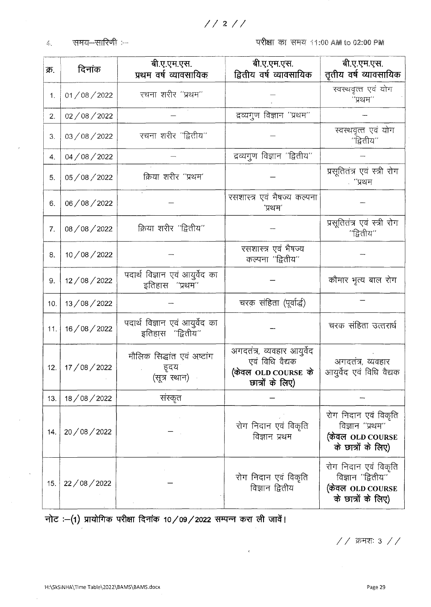समय-सारिणी :-- $\mathcal{L}_\mathbf{r}$ 

परीक्षा का समय 11:00 AM to 02:00 PM

| क्र. | दिनांक     | बी.ए.एम.एस.<br>प्रथम वर्ष व्यावसायिक                | बी.ए.एम.एस.<br>द्वितीय वर्ष व्यावसायिक                                                  | बी.ए.एम.एस.<br>तृतीय वर्ष व्यावसायिक                                                |
|------|------------|-----------------------------------------------------|-----------------------------------------------------------------------------------------|-------------------------------------------------------------------------------------|
| 1.   | 01/08/2022 | रचना शरीर "प्रथम"                                   |                                                                                         | स्वस्थवृत्त एवं योग<br>''प्रथम''                                                    |
| 2.   | 02/08/2022 |                                                     | द्रव्यगुण विज्ञान "प्रथम"                                                               |                                                                                     |
| 3.   | 03/08/2022 | रचना शरीर ''द्वितीय''                               |                                                                                         | स्वस्थवृत्त एवं योग<br>''द्वितीय''                                                  |
| 4.   | 04/08/2022 |                                                     | द्रव्यगुण विज्ञान "द्वितीय"                                                             |                                                                                     |
| 5.   | 05/08/2022 | क्रिया शरीर "प्रथम'                                 |                                                                                         | प्रसूतितंत्र एवं स्त्री रोग<br>. ''प्रथम                                            |
| 6.   | 06/08/2022 |                                                     | रसशास्त्र एवं भैषज्य कल्पना<br>'प्रथम'                                                  |                                                                                     |
| 7.   | 08/08/2022 | क्रिया शरीर "द्वितीय"                               |                                                                                         | प्रसूतितंत्र एवं स्त्री रोग<br>''द्वितीय''                                          |
| 8.   | 10/08/2022 |                                                     | रसशास्त्र एवं भैषज्य<br>कल्पना "द्वितीय"                                                |                                                                                     |
| 9.   | 12/08/2022 | पदार्थ विज्ञान एवं आयुर्वेद का<br>इतिहास ''प्रथम''  |                                                                                         | कौमार भृत्य बाल रोग                                                                 |
| 10.  | 13/08/2022 |                                                     | चरक संहिता (पूर्वार्द्ध)                                                                |                                                                                     |
| 11.  | 16/08/2022 | पदार्थ विज्ञान एवं आयुर्वेद का<br>इतिहास "द्वितीय"  |                                                                                         | चरक संहिता उत्तरार्ध                                                                |
| 12.  | 17/08/2022 | मौलिक सिद्धांत एवं अष्टांग<br>हृदय<br>(सूत्र स्थान) | अगदतंत्र, व्यवहार आयुर्वेद<br>एवं विधि वैद्यक<br>(केवल OLD COURSE के<br>छात्रों के लिए) | अगदतंत्र, व्यवहार<br>आयुर्वेद एवं विधि वैद्यक                                       |
| 13.  | 18/08/2022 | संस्कृत                                             |                                                                                         |                                                                                     |
| 14.  | 20/08/2022 |                                                     | रोग निदान एवं विकृति<br>विज्ञान प्रथम                                                   | रोग निदान एवं विकृति<br>विज्ञान ''प्रथम''<br>(केवल OLD COURSE<br>के छात्रों के लिए) |
| 15.  | 22/08/2022 |                                                     | रोग निदान एवं विकृति<br>विज्ञान द्वितीय                                                 | रोग निदान एवं विकृति<br>विज्ञान "द्वितीय"<br>(केवल OLD COURSE<br>के छात्रों के लिए) |

 $\bar{\epsilon}$ 

नोट :-(1) प्रायोगिक परीक्षा दिनांक 10/09/2022 सम्पन्न करा ली जावें।

 $//$  क्रमशः 3  $//$